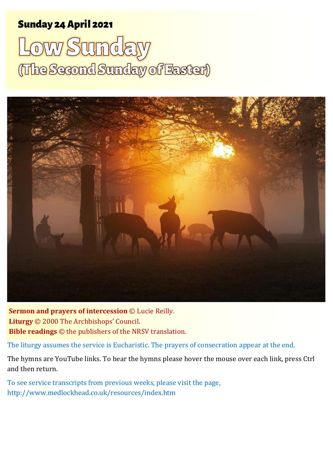### Sunday 24 April 2022 1 The Second Sunday of Easter Sunday 24 April 2021

# Low Sunday (The Second Sunday of Easter)



**Sermon and prayers of intercession** © Lucie Reilly. **Liturgy** © 2000 The Archbishops' Council. **Bible readings** © the publishers of the NRSV translation.

The liturgy assumes the service is Eucharistic. The prayers of consecration appear at the end.

The hymns are YouTube links. To hear the hymns please hover the mouse over each link, press Ctrl and then return.

To see service transcripts from previous weeks, please visit the page, <http://www.medlockhead.co.uk/resources/index.htm>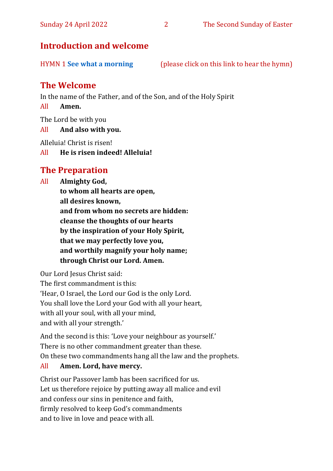#### **Introduction and welcome**

#### **The Welcome**

In the name of the Father, and of the Son, and of the Holy Spirit

#### All **Amen.**

The Lord be with you

All **And also with you.**

Alleluia! Christ is risen!

All **He is risen indeed! Alleluia!**

#### **The Preparation**

All **Almighty God, to whom all hearts are open, all desires known, and from whom no secrets are hidden: cleanse the thoughts of our hearts by the inspiration of your Holy Spirit, that we may perfectly love you, and worthily magnify your holy name; through Christ our Lord. Amen.**

Our Lord Jesus Christ said: The first commandment is this: 'Hear, O Israel, the Lord our God is the only Lord. You shall love the Lord your God with all your heart, with all your soul, with all your mind, and with all your strength.'

And the second is this: 'Love your neighbour as yourself.' There is no other commandment greater than these. On these two commandments hang all the law and the prophets.

#### All **Amen. Lord, have mercy.**

Christ our Passover lamb has been sacrificed for us. Let us therefore rejoice by putting away all malice and evil and confess our sins in penitence and faith, firmly resolved to keep God's commandments and to live in love and peace with all.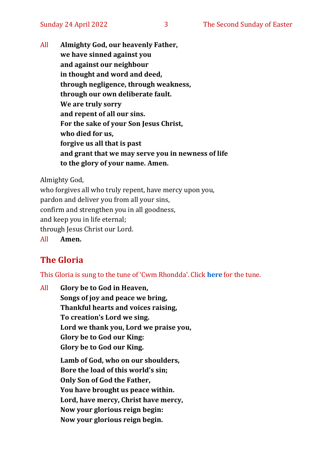All **Almighty God, our heavenly Father, we have sinned against you and against our neighbour in thought and word and deed, through negligence, through weakness, through our own deliberate fault. We are truly sorry and repent of all our sins. For the sake of your Son Jesus Christ, who died for us, forgive us all that is past and grant that we may serve you in newness of life to the glory of your name. Amen.**

Almighty God,

who forgives all who truly repent, have mercy upon you, pardon and deliver you from all your sins, confirm and strengthen you in all goodness, and keep you in life eternal; through Jesus Christ our Lord. All **Amen.**

#### **The Gloria**

This Gloria is sung to the tune of 'Cwm Rhondda'. Click **[here](about:blank)** for the tune.

All **Glory be to God in Heaven, Songs of joy and peace we bring, Thankful hearts and voices raising, To creation's Lord we sing. Lord we thank you, Lord we praise you, Glory be to God our King: Glory be to God our King. Lamb of God, who on our shoulders, Bore the load of this world's sin; Only Son of God the Father, You have brought us peace within. Lord, have mercy, Christ have mercy, Now your glorious reign begin: Now your glorious reign begin.**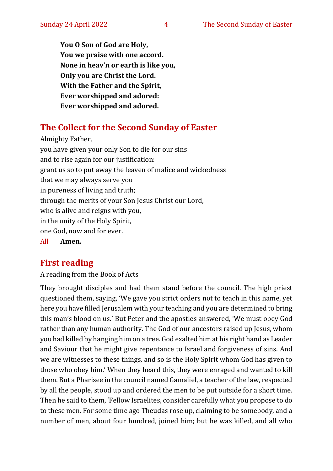**You O Son of God are Holy, You we praise with one accord. None in heav'n or earth is like you, Only you are Christ the Lord. With the Father and the Spirit, Ever worshipped and adored: Ever worshipped and adored.**

#### **The Collect for the Second Sunday of Easter**

Almighty Father, you have given your only Son to die for our sins and to rise again for our justification: grant us so to put away the leaven of malice and wickedness that we may always serve you in pureness of living and truth; through the merits of your Son Jesus Christ our Lord, who is alive and reigns with you, in the unity of the Holy Spirit, one God, now and for ever. All **Amen.**

#### **First reading**

A reading from the Book of Acts

They brought disciples and had them stand before the council. The high priest questioned them, saying, 'We gave you strict orders not to teach in this name, yet here you have filled Jerusalem with your teaching and you are determined to bring this man's blood on us.' But Peter and the apostles answered, 'We must obey God rather than any human authority. The God of our ancestors raised up Jesus, whom you had killed by hanging him on a tree. God exalted him at his right hand as Leader and Saviour that he might give repentance to Israel and forgiveness of sins. And we are witnesses to these things, and so is the Holy Spirit whom God has given to those who obey him.' When they heard this, they were enraged and wanted to kill them. But a Pharisee in the council named Gamaliel, a teacher of the law, respected by all the people, stood up and ordered the men to be put outside for a short time. Then he said to them, 'Fellow Israelites, consider carefully what you propose to do to these men. For some time ago Theudas rose up, claiming to be somebody, and a number of men, about four hundred, joined him; but he was killed, and all who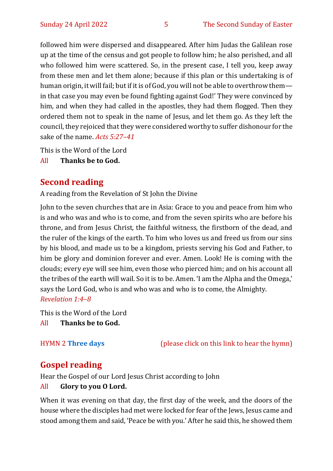followed him were dispersed and disappeared. After him Judas the Galilean rose up at the time of the census and got people to follow him; he also perished, and all who followed him were scattered. So, in the present case, I tell you, keep away from these men and let them alone; because if this plan or this undertaking is of human origin, it will fail; but if it is of God, you will not be able to overthrow them in that case you may even be found fighting against God!' They were convinced by him, and when they had called in the apostles, they had them flogged. Then they ordered them not to speak in the name of Jesus, and let them go. As they left the council, they rejoiced that they were considered worthy to suffer dishonour for the sake of the name. *Acts 5:27–41*

This is the Word of the Lord

All **Thanks be to God.**

#### **Second reading**

A reading from the Revelation of St John the Divine

John to the seven churches that are in Asia: Grace to you and peace from him who is and who was and who is to come, and from the seven spirits who are before his throne, and from Jesus Christ, the faithful witness, the firstborn of the dead, and the ruler of the kings of the earth. To him who loves us and freed us from our sins by his blood, and made us to be a kingdom, priests serving his God and Father, to him be glory and dominion forever and ever. Amen. Look! He is coming with the clouds; every eye will see him, even those who pierced him; and on his account all the tribes of the earth will wail. So it is to be. Amen. 'I am the Alpha and the Omega,' says the Lord God, who is and who was and who is to come, the Almighty. *Revelation 1:4–8*

This is the Word of the Lord All **Thanks be to God.**

HYMN 2 **[Three days](https://www.youtube.com/watch?v=r5jiBrtygws)** (please click on this link to hear the hymn)

#### **Gospel reading**

Hear the Gospel of our Lord Jesus Christ according to John

#### All **Glory to you O Lord.**

When it was evening on that day, the first day of the week, and the doors of the house where the disciples had met were locked for fear of the Jews, Jesus came and stood among them and said, 'Peace be with you.' After he said this, he showed them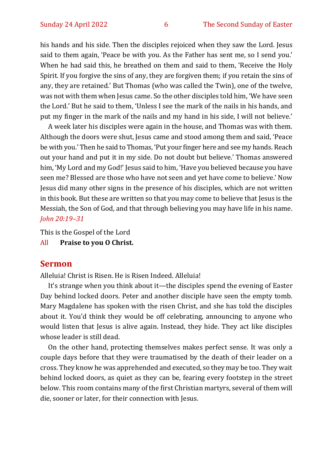his hands and his side. Then the disciples rejoiced when they saw the Lord. Jesus said to them again, 'Peace be with you. As the Father has sent me, so I send you.' When he had said this, he breathed on them and said to them, 'Receive the Holy Spirit. If you forgive the sins of any, they are forgiven them; if you retain the sins of any, they are retained.' But Thomas (who was called the Twin), one of the twelve, was not with them when Jesus came. So the other disciples told him, 'We have seen the Lord.' But he said to them, 'Unless I see the mark of the nails in his hands, and put my finger in the mark of the nails and my hand in his side, I will not believe.'

A week later his disciples were again in the house, and Thomas was with them. Although the doors were shut, Jesus came and stood among them and said, 'Peace be with you.' Then he said to Thomas, 'Put your finger here and see my hands. Reach out your hand and put it in my side. Do not doubt but believe.' Thomas answered him, 'My Lord and my God!' Jesus said to him, 'Have you believed because you have seen me? Blessed are those who have not seen and yet have come to believe.' Now Jesus did many other signs in the presence of his disciples, which are not written in this book. But these are written so that you may come to believe that Jesus is the Messiah, the Son of God, and that through believing you may have life in his name. *John 20:19–31*

This is the Gospel of the Lord

All **Praise to you O Christ.** 

#### **Sermon**

Alleluia! Christ is Risen. He is Risen Indeed. Alleluia!

It's strange when you think about it—the disciples spend the evening of Easter Day behind locked doors. Peter and another disciple have seen the empty tomb. Mary Magdalene has spoken with the risen Christ, and she has told the disciples about it. You'd think they would be off celebrating, announcing to anyone who would listen that Jesus is alive again. Instead, they hide. They act like disciples whose leader is still dead.

On the other hand, protecting themselves makes perfect sense. It was only a couple days before that they were traumatised by the death of their leader on a cross. They know he was apprehended and executed, so they may be too. They wait behind locked doors, as quiet as they can be, fearing every footstep in the street below. This room contains many of the first Christian martyrs, several of them will die, sooner or later, for their connection with Jesus.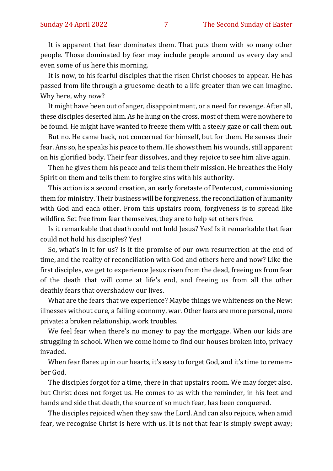It is apparent that fear dominates them. That puts them with so many other people. Those dominated by fear may include people around us every day and even some of us here this morning.

It is now, to his fearful disciples that the risen Christ chooses to appear. He has passed from life through a gruesome death to a life greater than we can imagine. Why here, why now?

It might have been out of anger, disappointment, or a need for revenge. After all, these disciples deserted him. As he hung on the cross, most of them were nowhere to be found. He might have wanted to freeze them with a steely gaze or call them out.

But no. He came back, not concerned for himself, but for them. He senses their fear. Ans so, he speaks his peace to them. He shows them his wounds, still apparent on his glorified body. Their fear dissolves, and they rejoice to see him alive again.

Then he gives them his peace and tells them their mission. He breathes the Holy Spirit on them and tells them to forgive sins with his authority.

This action is a second creation, an early foretaste of Pentecost, commissioning them for ministry. Their business will be forgiveness, the reconciliation of humanity with God and each other. From this upstairs room, forgiveness is to spread like wildfire. Set free from fear themselves, they are to help set others free.

Is it remarkable that death could not hold Jesus? Yes! Is it remarkable that fear could not hold his disciples? Yes!

So, what's in it for us? Is it the promise of our own resurrection at the end of time, and the reality of reconciliation with God and others here and now? Like the first disciples, we get to experience Jesus risen from the dead, freeing us from fear of the death that will come at life's end, and freeing us from all the other deathly fears that overshadow our lives.

What are the fears that we experience? Maybe things we whiteness on the New: illnesses without cure, a failing economy, war. Other fears are more personal, more private: a broken relationship, work troubles.

We feel fear when there's no money to pay the mortgage. When our kids are struggling in school. When we come home to find our houses broken into, privacy invaded.

When fear flares up in our hearts, it's easy to forget God, and it's time to remember God.

The disciples forgot for a time, there in that upstairs room. We may forget also, but Christ does not forget us. He comes to us with the reminder, in his feet and hands and side that death, the source of so much fear, has been conquered.

The disciples rejoiced when they saw the Lord. And can also rejoice, when amid fear, we recognise Christ is here with us. It is not that fear is simply swept away;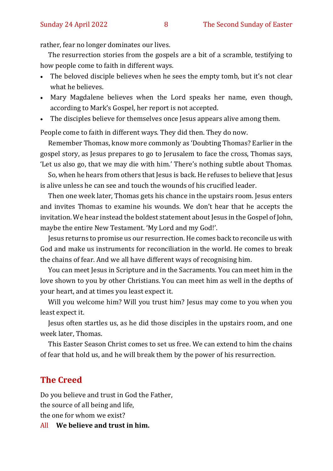rather, fear no longer dominates our lives.

The resurrection stories from the gospels are a bit of a scramble, testifying to how people come to faith in different ways.

- The beloved disciple believes when he sees the empty tomb, but it's not clear what he believes.
- Mary Magdalene believes when the Lord speaks her name, even though, according to Mark's Gospel, her report is not accepted.
- The disciples believe for themselves once Jesus appears alive among them.

People come to faith in different ways. They did then. They do now.

Remember Thomas, know more commonly as 'Doubting Thomas? Earlier in the gospel story, as Jesus prepares to go to Jerusalem to face the cross, Thomas says, 'Let us also go, that we may die with him.' There's nothing subtle about Thomas.

So, when he hears from others that Jesus is back. He refuses to believe that Jesus is alive unless he can see and touch the wounds of his crucified leader.

Then one week later, Thomas gets his chance in the upstairs room. Jesus enters and invites Thomas to examine his wounds. We don't hear that he accepts the invitation. We hear instead the boldest statement about Jesus in the Gospel of John, maybe the entire New Testament. 'My Lord and my God!'.

Jesus returns to promise us our resurrection. He comes back to reconcile us with God and make us instruments for reconciliation in the world. He comes to break the chains of fear. And we all have different ways of recognising him.

You can meet Jesus in Scripture and in the Sacraments. You can meet him in the love shown to you by other Christians. You can meet him as well in the depths of your heart, and at times you least expect it.

Will you welcome him? Will you trust him? Jesus may come to you when you least expect it.

Jesus often startles us, as he did those disciples in the upstairs room, and one week later, Thomas.

This Easter Season Christ comes to set us free. We can extend to him the chains of fear that hold us, and he will break them by the power of his resurrection.

#### **The Creed**

Do you believe and trust in God the Father, the source of all being and life, the one for whom we exist?

All **We believe and trust in him.**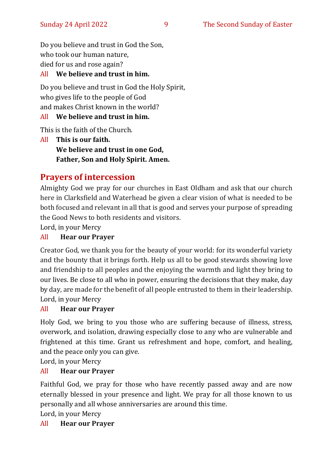Do you believe and trust in God the Son, who took our human nature, died for us and rose again?

#### All **We believe and trust in him.**

Do you believe and trust in God the Holy Spirit, who gives life to the people of God and makes Christ known in the world?

#### All **We believe and trust in him.**

This is the faith of the Church.

All **This is our faith. We believe and trust in one God, Father, Son and Holy Spirit. Amen.**

#### **Prayers of intercession**

Almighty God we pray for our churches in East Oldham and ask that our church here in Clarksfield and Waterhead be given a clear vision of what is needed to be both focused and relevant in all that is good and serves your purpose of spreading the Good News to both residents and visitors.

Lord, in your Mercy

#### All **Hear our Prayer**

Creator God, we thank you for the beauty of your world: for its wonderful variety and the bounty that it brings forth. Help us all to be good stewards showing love and friendship to all peoples and the enjoying the warmth and light they bring to our lives. Be close to all who in power, ensuring the decisions that they make, day by day, are made for the benefit of all people entrusted to them in their leadership. Lord, in your Mercy

#### All **Hear our Prayer**

Holy God, we bring to you those who are suffering because of illness, stress, overwork, and isolation, drawing especially close to any who are vulnerable and frightened at this time. Grant us refreshment and hope, comfort, and healing, and the peace only you can give.

Lord, in your Mercy

#### All **Hear our Prayer**

Faithful God, we pray for those who have recently passed away and are now eternally blessed in your presence and light. We pray for all those known to us personally and all whose anniversaries are around this time.

Lord, in your Mercy

#### All **Hear our Prayer**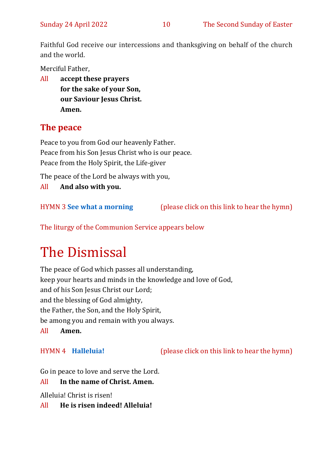Faithful God receive our intercessions and thanksgiving on behalf of the church and the world.

Merciful Father,

All **accept these prayers for the sake of your Son, our Saviour Jesus Christ. Amen.**

#### **The peace**

Peace to you from God our heavenly Father. Peace from his Son Jesus Christ who is our peace. Peace from the Holy Spirit, the Life-giver

The peace of the Lord be always with you,

All **And also with you.**

HYMN 3 **[See what a morning](https://www.youtube.com/watch?v=ET65Y1r3YeQ)** (please click on this link to hear the hymn)

The liturgy of the Communion Service appears below

## The Dismissal

The peace of God which passes all understanding, keep your hearts and minds in the knowledge and love of God, and of his Son Jesus Christ our Lord; and the blessing of God almighty, the Father, the Son, and the Holy Spirit, be among you and remain with you always.

All **Amen.**

HYMN 4 **[Halleluia!](https://www.youtube.com/watch?v=5bs4fL1DFdw)** (please click on this link to hear the hymn)

Go in peace to love and serve the Lord.

#### All **In the name of Christ. Amen.**

Alleluia! Christ is risen!

All **He is risen indeed! Alleluia!**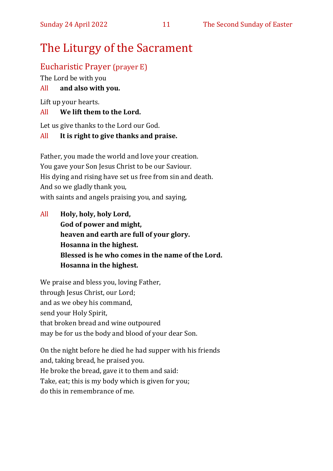### The Liturgy of the Sacrament

#### Eucharistic Prayer (prayer E)

The Lord be with you

#### All **and also with you.**

Lift up your hearts.

#### All **We lift them to the Lord.**

Let us give thanks to the Lord our God.

#### All **It is right to give thanks and praise.**

Father, you made the world and love your creation. You gave your Son Jesus Christ to be our Saviour. His dying and rising have set us free from sin and death. And so we gladly thank you, with saints and angels praising you, and saying,

All **Holy, holy, holy Lord, God of power and might, heaven and earth are full of your glory. Hosanna in the highest. Blessed is he who comes in the name of the Lord. Hosanna in the highest.**

We praise and bless you, loving Father, through Jesus Christ, our Lord; and as we obey his command, send your Holy Spirit, that broken bread and wine outpoured may be for us the body and blood of your dear Son.

On the night before he died he had supper with his friends and, taking bread, he praised you. He broke the bread, gave it to them and said: Take, eat; this is my body which is given for you; do this in remembrance of me.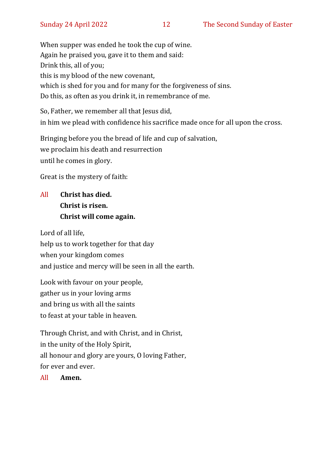When supper was ended he took the cup of wine. Again he praised you, gave it to them and said: Drink this, all of you; this is my blood of the new covenant, which is shed for you and for many for the forgiveness of sins. Do this, as often as you drink it, in remembrance of me.

So, Father, we remember all that Jesus did, in him we plead with confidence his sacrifice made once for all upon the cross.

Bringing before you the bread of life and cup of salvation, we proclaim his death and resurrection until he comes in glory.

Great is the mystery of faith:

#### All **Christ has died. Christ is risen. Christ will come again.**

Lord of all life, help us to work together for that day when your kingdom comes and justice and mercy will be seen in all the earth.

Look with favour on your people, gather us in your loving arms and bring us with all the saints to feast at your table in heaven.

Through Christ, and with Christ, and in Christ, in the unity of the Holy Spirit, all honour and glory are yours, O loving Father, for ever and ever.

All **Amen.**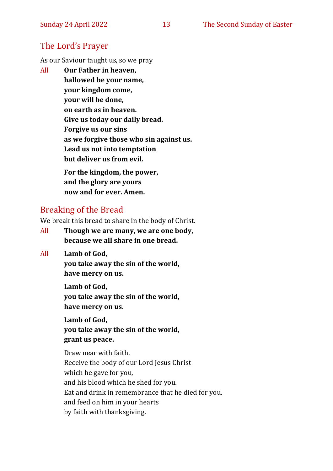#### The Lord's Prayer

As our Saviour taught us, so we pray

All **Our Father in heaven, hallowed be your name, your kingdom come, your will be done, on earth as in heaven. Give us today our daily bread. Forgive us our sins as we forgive those who sin against us. Lead us not into temptation but deliver us from evil.**

**For the kingdom, the power, and the glory are yours now and for ever. Amen.**

#### Breaking of the Bread

We break this bread to share in the body of Christ.

All **Though we are many, we are one body, because we all share in one bread.**

#### All **Lamb of God,**

**you take away the sin of the world, have mercy on us.**

**Lamb of God, you take away the sin of the world, have mercy on us.**

**Lamb of God, you take away the sin of the world, grant us peace.**

Draw near with faith. Receive the body of our Lord Jesus Christ which he gave for you, and his blood which he shed for you. Eat and drink in remembrance that he died for you, and feed on him in your hearts by faith with thanksgiving.